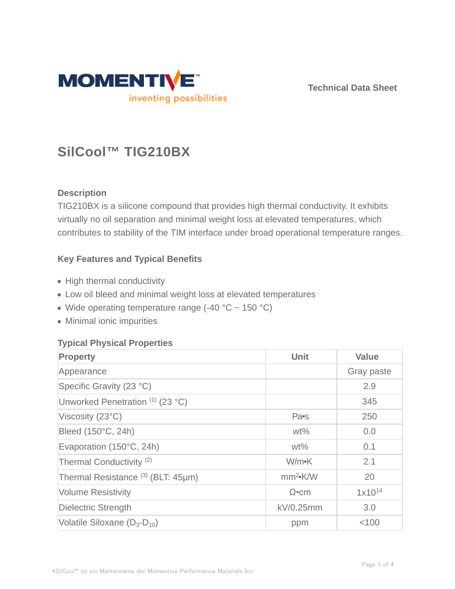

**Technical Data Sheet**

# **SilCool™ TIG210BX**

# **Description**

TIG210BX is a silicone compound that provides high thermal conductivity. It exhibits virtually no oil separation and minimal weight loss at elevated temperatures, which contributes to stability of the TIM interface under broad operational temperature ranges.

## **Key Features and Typical Benefits**

- High thermal conductivity
- Low oil bleed and minimal weight loss at elevated temperatures
- Wide operating temperature range  $(-40 °C \sim 150 °C)$
- Minimal ionic impurities

## **Typical Physical Properties**

| <b>Property</b>                               | Unit                       | <b>Value</b> |
|-----------------------------------------------|----------------------------|--------------|
| Appearance                                    |                            | Gray paste   |
| Specific Gravity (23 °C)                      |                            | 2.9          |
| Unworked Penetration (1) (23 °C)              |                            | 345          |
| Viscosity (23°C)                              | Pa <sub>s</sub>            | 250          |
| Bleed (150°C, 24h)                            | $wt\%$                     | 0.0          |
| Evaporation (150°C, 24h)                      | $wt\%$                     | 0.1          |
| Thermal Conductivity <sup>(2)</sup>           | W/m•K                      | 2.1          |
| Thermal Resistance <sup>(3)</sup> (BLT: 45µm) | mm <sup>2</sup> <b>K/W</b> | 20           |
| <b>Volume Resistivity</b>                     | $\Omega$ •cm               | $1x10^{14}$  |
| <b>Dielectric Strength</b>                    | kV/0.25mm                  | 3.0          |
| Volatile Siloxane $(D_3-D_{10})$              | ppm                        | < 100        |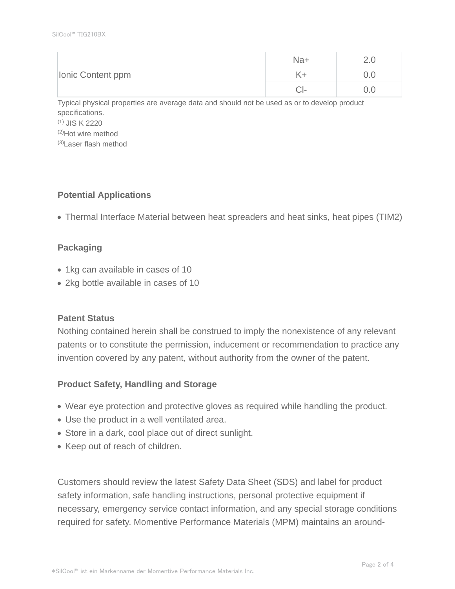| Ionic Content ppm | Na+  |     |
|-------------------|------|-----|
|                   |      | J.U |
|                   | 1 H. | J.U |

Typical physical properties are average data and should not be used as or to develop product specifications. (1) JIS K 2220 (2)Hot wire method (3)Laser flash method

## **Potential Applications**

Thermal Interface Material between heat spreaders and heat sinks, heat pipes (TIM2)

## **Packaging**

- 1kg can available in cases of 10
- 2kg bottle available in cases of 10

#### **Patent Status**

Nothing contained herein shall be construed to imply the nonexistence of any relevant patents or to constitute the permission, inducement or recommendation to practice any invention covered by any patent, without authority from the owner of the patent.

## **Product Safety, Handling and Storage**

- Wear eye protection and protective gloves as required while handling the product.
- Use the product in a well ventilated area.
- Store in a dark, cool place out of direct sunlight.
- Keep out of reach of children.

Customers should review the latest Safety Data Sheet (SDS) and label for product safety information, safe handling instructions, personal protective equipment if necessary, emergency service contact information, and any special storage conditions required for safety. Momentive Performance Materials (MPM) maintains an around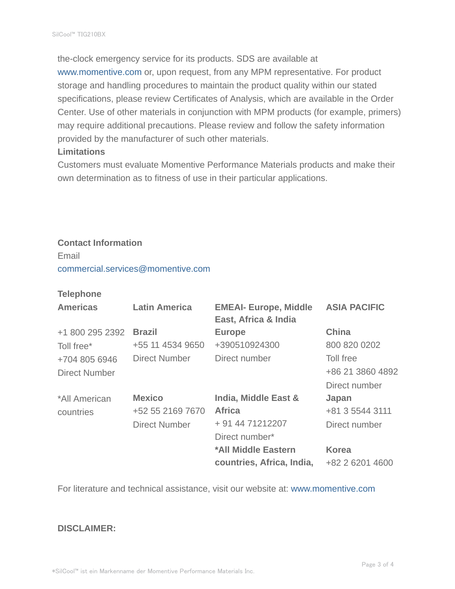the-clock emergency service for its products. SDS are available at www.momentive.com or, upon request, from any MPM representative. For product storage and handling procedures to maintain the product quality within our stated specifications, please review Certificates of Analysis, which are available in the Order Center. Use of other materials in conjunction with MPM products (for example, primers) may require additional precautions. Please review and follow the safety information provided by the manufacturer of such other materials.

#### **Limitations**

Customers must evaluate Momentive Performance Materials products and make their own determination as to fitness of use in their particular applications.

# **Contact Information**

Email

commercial.services@momentive.com

#### **Telephone**

| <b>Americas</b> | <b>Latin America</b> | <b>EMEAI- Europe, Middle</b><br>East, Africa & India | <b>ASIA PACIFIC</b> |
|-----------------|----------------------|------------------------------------------------------|---------------------|
| +1 800 295 2392 | <b>Brazil</b>        | <b>Europe</b>                                        | <b>China</b>        |
| Toll free*      | +55 11 4534 9650     | +390510924300                                        | 800 820 0202        |
| +704 805 6946   | <b>Direct Number</b> | Direct number                                        | Toll free           |
| Direct Number   |                      |                                                      | +86 21 3860 4892    |
|                 |                      |                                                      | Direct number       |
| *All American   | <b>Mexico</b>        | <b>India, Middle East &amp;</b>                      | Japan               |
| countries       | +52 55 2169 7670     | <b>Africa</b>                                        | +81 3 5544 3111     |
|                 | <b>Direct Number</b> | + 91 44 71212207                                     | Direct number       |
|                 |                      | Direct number*                                       |                     |
|                 |                      | *All Middle Eastern                                  | <b>Korea</b>        |
|                 |                      | countries, Africa, India,                            | +82 2 6201 4600     |

For literature and technical assistance, visit our website at: www.momentive.com

#### **DISCLAIMER:**